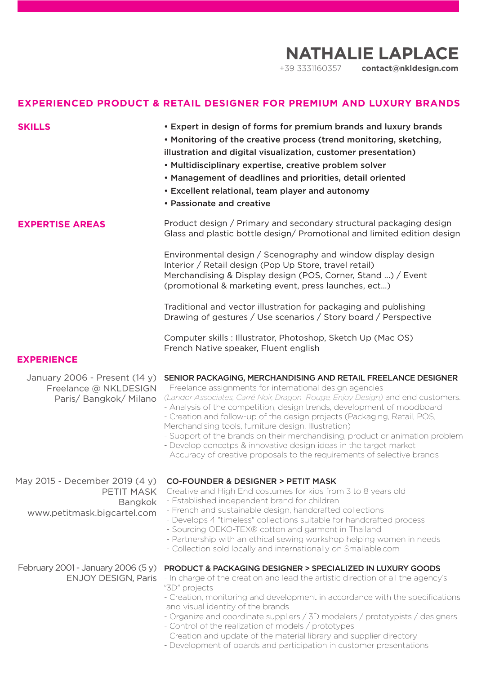## **NATHALIE LAPLACE**

+39 3331160357 **contact@nkldesign.com**

## **EXPERIENCED PRODUCT & RETAIL DESIGNER FOR PREMIUM AND LUXURY BRANDS**

| <b>SKILLS</b>                                                                                 | • Expert in design of forms for premium brands and luxury brands<br>. Monitoring of the creative process (trend monitoring, sketching,<br>illustration and digital visualization, customer presentation)<br>• Multidisciplinary expertise, creative problem solver<br>• Management of deadlines and priorities, detail oriented<br>• Excellent relational, team player and autonomy<br>• Passionate and creative                                                                                                                                                                                                                                            |
|-----------------------------------------------------------------------------------------------|-------------------------------------------------------------------------------------------------------------------------------------------------------------------------------------------------------------------------------------------------------------------------------------------------------------------------------------------------------------------------------------------------------------------------------------------------------------------------------------------------------------------------------------------------------------------------------------------------------------------------------------------------------------|
| <b>EXPERTISE AREAS</b>                                                                        | Product design / Primary and secondary structural packaging design<br>Glass and plastic bottle design/ Promotional and limited edition design                                                                                                                                                                                                                                                                                                                                                                                                                                                                                                               |
|                                                                                               | Environmental design / Scenography and window display design<br>Interior / Retail design (Pop Up Store, travel retail)<br>Merchandising & Display design (POS, Corner, Stand ) / Event<br>(promotional & marketing event, press launches, ect)                                                                                                                                                                                                                                                                                                                                                                                                              |
|                                                                                               | Traditional and vector illustration for packaging and publishing<br>Drawing of gestures / Use scenarios / Story board / Perspective                                                                                                                                                                                                                                                                                                                                                                                                                                                                                                                         |
|                                                                                               | Computer skills: Illustrator, Photoshop, Sketch Up (Mac OS)<br>French Native speaker, Fluent english                                                                                                                                                                                                                                                                                                                                                                                                                                                                                                                                                        |
| <b>EXPERIENCE</b>                                                                             |                                                                                                                                                                                                                                                                                                                                                                                                                                                                                                                                                                                                                                                             |
| January 2006 - Present (14 y)<br>Freelance @ NKLDESIGN<br>Paris/Bangkok/Milano                | SENIOR PACKAGING, MERCHANDISING AND RETAIL FREELANCE DESIGNER<br>- Freelance assignments for international design agencies<br>(Landor Associates, Carré Noir, Dragon Rouge, Enjoy Design) and end customers.<br>- Analysis of the competition, design trends, development of moodboard<br>- Creation and follow-up of the design projects (Packaging, Retail, POS,<br>Merchandising tools, furniture design, Illustration)<br>- Support of the brands on their merchandising, product or animation problem<br>- Develop concetps & innovative design ideas in the target market<br>- Accuracy of creative proposals to the requirements of selective brands |
| May 2015 - December 2019 (4 y)<br>PETIT MASK<br><b>Bangkok</b><br>www.petitmask.bigcartel.com | <b>CO-FOUNDER &amp; DESIGNER &gt; PETIT MASK</b><br>Creative and High End costumes for kids from 3 to 8 years old<br>- Established independent brand for children<br>- French and sustainable design, handcrafted collections<br>- Develops 4 "timeless" collections suitable for handcrafted process<br>- Sourcing OEKO-TEX® cotton and garment in Thailand<br>- Partnership with an ethical sewing workshop helping women in needs<br>- Collection sold locally and internationally on Smallable.com                                                                                                                                                      |
| February 2001 - January 2006 (5 y)<br><b>ENJOY DESIGN, Paris</b>                              | PRODUCT & PACKAGING DESIGNER > SPECIALIZED IN LUXURY GOODS<br>- In charge of the creation and lead the artistic direction of all the agency's<br>"3D" projects<br>- Creation, monitoring and development in accordance with the specifications<br>and visual identity of the brands<br>- Organize and coordinate suppliers / 3D modelers / prototypists / designers<br>- Control of the realization of models / prototypes<br>- Creation and update of the material library and supplier directory                                                                                                                                                          |

- Development of boards and participation in customer presentations